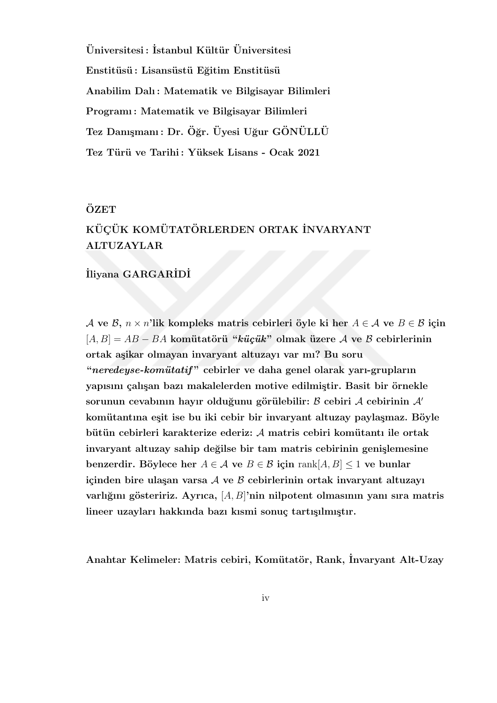$\ddot{U}$ niversitesi : İstanbul Kültür  $\ddot{U}$ niversitesi **Enstit¨us¨u : Lisans¨ust¨u E˘gitim Enstit¨us¨u Anabilim Dalı : Matematik ve Bilgisayar Bilimleri Programı : Matematik ve Bilgisayar Bilimleri Tez Danı¸smanı : Dr. O˘gr. ¨ Uyesi U˘gur G ¨ ON¨ ULL ¨ U¨** Tez Türü ve Tarihi : Yüksek Lisans - Ocak 2021

## **OZET ¨**

# $\bf K\ddot{\textbf{U}}$ CÜK KOMÜTATÖRLERDEN ORTAK İNVARYANT **ALTUZAYLAR**

## **˙Iliyana GARGAR˙ID˙I**

*A* **ve** *B*,  $n \times n'$ lik kompleks matris cebirleri öyle ki her  $A \in \mathcal{A}$  ve  $B \in \mathcal{B}$  için [*A, B*] = *AB − BA* **kom¨utat¨or¨u "***k¨u¸c¨uk***" olmak ¨uzere** *A* **ve** *B* **cebirlerinin ortak a¸sikar olmayan invaryant altuzayı var mı? Bu soru "***neredeyse-kom¨utatif* **" cebirler ve daha genel olarak yarı-grupların** yapısını çalışan bazı makalelerden motive edilmiştir. Basit bir örnekle sorunun cevabının hayır olduğunu görülebilir: *B* cebiri *A* cebirinin *A'* komütantına eşit ise bu iki cebir bir invaryant altuzay paylaşmaz. Böyle **b¨ut¨un cebirleri karakterize ederiz:** *A* **matris cebiri kom¨utantı ile ortak invaryant altuzay sahip de˘gilse bir tam matris cebirinin geni¸slemesine benzerdir.** Böylece her  $A \in \mathcal{A}$  ve  $B \in \mathcal{B}$  için rank $[A, B] \leq 1$  ve bunlar **icinden bire ulasan varsa** A ve B cebirlerinin ortak invaryant altuzayı varlığını gösteririz. Ayrıca, [A, B]'nin nilpotent olmasının yanı sıra matris lineer uzayları hakkında bazı kısmi sonuç tartışılmıştır.

**Anahtar Kelimeler: Matris cebiri, Kom¨utat¨or, Rank, ˙Invaryant Alt-Uzay**